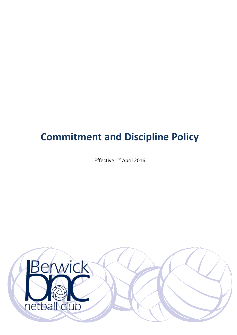# **Commitment and Discipline Policy**

Effective 1<sup>st</sup> April 2016

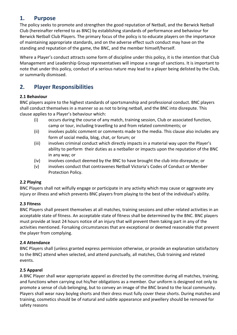## **1. Purpose**

The policy seeks to promote and strengthen the good reputation of Netball, and the Berwick Netball Club (hereinafter referred to as BNC) by establishing standards of performance and behaviour for Berwick Netball Club Players. The primary focus of the policy is to educate players on the importance of maintaining appropriate standards, and on the adverse effect such conduct may have on the standing and reputation of the game, the BNC, and the member himself/herself.

Where a Player's conduct attracts some form of discipline under this policy, it is the intention that Club Management and Leadership Group representatives will impose a range of sanctions. It is important to note that under this policy, conduct of a serious nature may lead to a player being delisted by the Club, or summarily dismissed.

## **2. Player Responsibilities**

### **2.1 Behaviour**

BNC players aspire to the highest standards of sportsmanship and professional conduct. BNC players shall conduct themselves in a manner so as not to bring netball, and the BNC into disrepute. This clause applies to a Player's behaviour which:

- (i) occurs during the course of any match, training session, Club or associated function, camp or tour, including travelling to and from related commitments; or
- (ii) involves public comment or comments made to the media. This clause also includes any form of social media, blog, chat, or forum; or
- (iii) involves criminal conduct which directly impacts in a material way upon the Player's ability to perform their duties as a netballer or impacts upon the reputation of the BNC in any way; or
- (iv) involves conduct deemed by the BNC to have brought the club into disrepute; or
- (v) involves conduct that contravenes Netball Victoria's Codes of Conduct or Member Protection Policy.

### **2.2 Playing**

BNC Players shall not wilfully engage or participate in any activity which may cause or aggravate any injury or illness and which prevents BNC players from playing to the best of the individual's ability.

### **2.3 Fitness**

BNC Players shall present themselves at all matches, training sessions and other related activities in an acceptable state of fitness. An acceptable state of fitness shall be determined by the BNC. BNC players must provide at least 24 hours notice of an injury that will prevent them taking part in any of the activities mentioned. Forsaking circumstances that are exceptional or deemed reasonable that prevent the player from complying.

### **2.4 Attendance**

BNC Players shall (unless granted express permission otherwise, or provide an explanation satisfactory to the BNC) attend when selected, and attend punctually, all matches, Club training and related events.

### **2.5 Apparel**

A BNC Player shall wear appropriate apparel as directed by the committee during all matches, training, and functions when carrying out his/her obligations as a member. Our uniform is designed not only to promote a sense of club belonging, but to convey an image of the BNC brand to the local community. Players shall wear navy boyleg shorts and their dress must fully cover these shorts. During matches and training, cosmetics should be of natural and subtle appearance and jewellery should be removed for safety reasons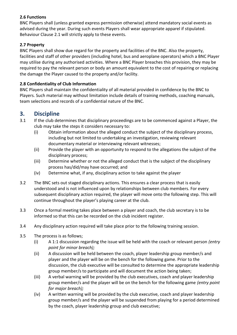### **2.6 Functions**

BNC Players shall (unless granted express permission otherwise) attend mandatory social events as advised during the year. During such events Players shall wear appropriate apparel if stipulated. Behaviour Clause 2.1 will strictly apply to these events.

#### **2.7 Property**

BNC Players shall show due regard for the property and facilities of the BNC. Also the property, facilities and staff of other providers (including hotel, bus and aeroplane operators) which a BNC Player may utilise during any authorised activities. Where a BNC Player breaches this provision, they may be required to pay the relevant person or body an amount equivalent to the cost of repairing or replacing the damage the Player caused to the property and/or facility.

#### **2.8 Confidentiality of Club Information**

BNC Players shall maintain the confidentiality of all material provided in confidence by the BNC to Players. Such material may without limitation include details of training methods, coaching manuals, team selections and records of a confidential nature of the BNC.

## **3. Discipline**

- 3.1 If the club determines that disciplinary proceedings are to be commenced against a Player, the club may take the steps it considers necessary to:
	- (i) Obtain information about the alleged conduct the subject of the disciplinary process, including but not limited to undertaking an investigation, reviewing relevant documentary material or interviewing relevant witnesses;
	- (ii) Provide the player with an opportunity to respond to the allegations the subject of the disciplinary process;
	- (iii) Determine whether or not the alleged conduct that is the subject of the disciplinary process has/did/may have occurred; and
	- (iv) Determine what, if any, disciplinary action to take against the player
- 3.2 The BNC sets out staged disciplinary actions. This ensures a clear process that is easily understood and is not influenced upon by relationships between club members. For every subsequent disciplinary action required, the player will move onto the following step. This will continue throughout the player's playing career at the club.
- 3.3 Once a formal meeting takes place between a player and coach, the club secretary is to be informed so that this can be recorded on the club incident register.
- 3.4 Any disciplinary action required will take place prior to the following training session.
- 3.5 The process is as follows;
	- (i) A 1:1 discussion regarding the issue will be held with the coach or relevant person *(entry point for minor breach);*
	- (ii) A discussion will be held between the coach, player leadership group member/s and player and the player will be on the bench for the following game. Prior to the discussion, the club executive will be consulted to determine the appropriate leadership group member/s to participate and will document the action being taken;
	- (iii) A verbal warning will be provided by the club executives, coach and player leadership group member/s and the player will be on the bench for the following game *(entry point for major breach);*
	- (iv) A written warning will be provided by the club executive, coach and player leadership group member/s and the player will be suspended from playing for a period determined by the coach, player leadership group and club executive;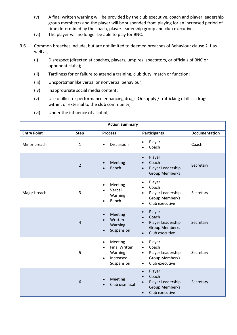- (v) A final written warning will be provided by the club executive, coach and player leadership group member/s and the player will be suspended from playing for an increased period of time determined by the coach, player leadership group and club executive;
- (vi) The player will no longer be able to play for BNC.
- 3.6 Common breaches include, but are not limited to deemed breaches of Behaviour clause 2.1 as well as;
	- (i) Disrespect (directed at coaches, players, umpires, spectators, or officials of BNC or opponent clubs);
	- (ii) Tardiness for or failure to attend a training, club duty, match or function;
	- (iii) Unsportsmanlike verbal or nonverbal behaviour;
	- (iv) Inappropriate social media content;
	- (v) Use of illicit or performance enhancing drugs. Or supply / trafficking of illicit drugs within, or external to the club community;
	- (vi) Under the influence of alcohol;

| <b>Action Summary</b> |                |                                                                                                 |                                                                                                                              |                      |
|-----------------------|----------------|-------------------------------------------------------------------------------------------------|------------------------------------------------------------------------------------------------------------------------------|----------------------|
| <b>Entry Point</b>    | <b>Step</b>    | <b>Process</b>                                                                                  | <b>Participants</b>                                                                                                          | <b>Documentation</b> |
| Minor breach          | $\mathbf{1}$   | Discussion<br>$\bullet$                                                                         | Player<br>$\bullet$<br>Coach                                                                                                 | Coach                |
|                       | $\overline{2}$ | Meeting<br>Bench<br>$\bullet$                                                                   | Player<br>$\bullet$<br>Coach<br>Player Leadership<br>$\bullet$<br>Group Member/s                                             | Secretary            |
| Major breach          | 3              | Meeting<br>Verbal<br>Warning<br>Bench                                                           | Player<br>$\bullet$<br>Coach<br>Player Leadership<br>Group Member/s<br>Club executive<br>$\bullet$                           | Secretary            |
|                       | $\overline{4}$ | Meeting<br>$\bullet$<br>Written<br>Warning<br>Suspension<br>$\bullet$                           | Player<br>$\bullet$<br>Coach<br>Player Leadership<br>Group Member/s<br>Club executive<br>$\bullet$                           | Secretary            |
|                       | 5              | Meeting<br>$\bullet$<br><b>Final Written</b><br>Warning<br>Increased<br>$\bullet$<br>Suspension | Player<br>$\bullet$<br>Coach<br>$\bullet$<br>Player Leadership<br>$\bullet$<br>Group Member/s<br>Club executive<br>$\bullet$ | Secretary            |
|                       | 6              | Meeting<br>Club dismissal                                                                       | Player<br>$\bullet$<br>Coach<br>$\bullet$<br>Player Leadership<br>Group Member/s<br>Club executive<br>$\bullet$              | Secretary            |